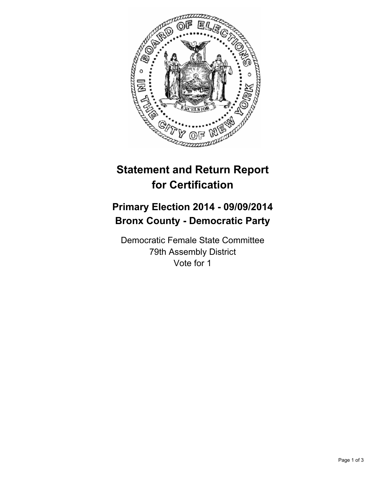

## **Statement and Return Report for Certification**

## **Primary Election 2014 - 09/09/2014 Bronx County - Democratic Party**

Democratic Female State Committee 79th Assembly District Vote for 1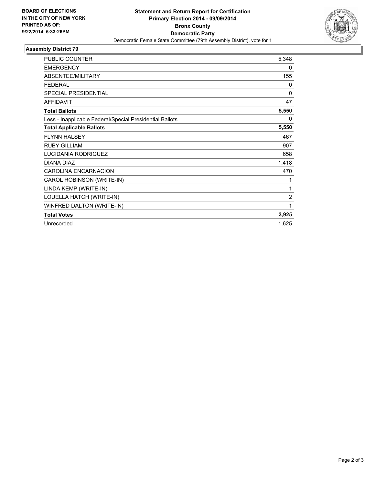

## **Assembly District 79**

| <b>PUBLIC COUNTER</b>                                    | 5,348          |
|----------------------------------------------------------|----------------|
| <b>EMERGENCY</b>                                         | 0              |
| ABSENTEE/MILITARY                                        | 155            |
| <b>FEDERAL</b>                                           | $\Omega$       |
| SPECIAL PRESIDENTIAL                                     | 0              |
| <b>AFFIDAVIT</b>                                         | 47             |
| <b>Total Ballots</b>                                     | 5,550          |
| Less - Inapplicable Federal/Special Presidential Ballots | $\Omega$       |
| <b>Total Applicable Ballots</b>                          | 5,550          |
| <b>FLYNN HALSEY</b>                                      | 467            |
| <b>RUBY GILLIAM</b>                                      | 907            |
| <b>LUCIDANIA RODRIGUEZ</b>                               | 658            |
| DIANA DIAZ                                               | 1,418          |
| <b>CAROLINA ENCARNACION</b>                              | 470            |
| CAROL ROBINSON (WRITE-IN)                                | 1              |
| LINDA KEMP (WRITE-IN)                                    | 1              |
| LOUELLA HATCH (WRITE-IN)                                 | $\overline{2}$ |
| WINFRED DALTON (WRITE-IN)                                | 1              |
| <b>Total Votes</b>                                       | 3,925          |
| Unrecorded                                               | 1,625          |